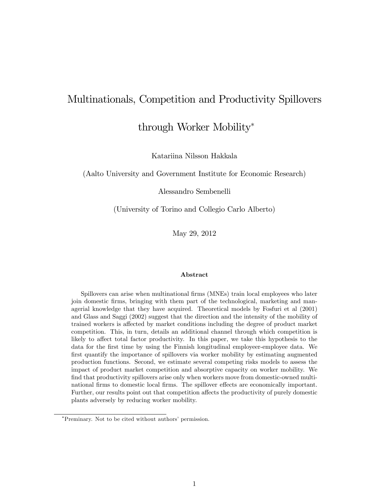# Multinationals, Competition and Productivity Spillovers

through Worker Mobility

Katariina Nilsson Hakkala

(Aalto University and Government Institute for Economic Research)

Alessandro Sembenelli

(University of Torino and Collegio Carlo Alberto)

May 29, 2012

#### Abstract

Spillovers can arise when multinational firms (MNEs) train local employees who later join domestic Örms, bringing with them part of the technological, marketing and managerial knowledge that they have acquired. Theoretical models by Fosfuri et al (2001) and Glass and Saggi (2002) suggest that the direction and the intensity of the mobility of trained workers is affected by market conditions including the degree of product market competition. This, in turn, details an additional channel through which competition is likely to affect total factor productivity. In this paper, we take this hypothesis to the data for the Örst time by using the Finnish longitudinal employeer-employee data. We first quantify the importance of spillovers via worker mobility by estimating augmented production functions. Second, we estimate several competing risks models to assess the impact of product market competition and absorptive capacity on worker mobility. We find that productivity spillovers arise only when workers move from domestic-owned multinational firms to domestic local firms. The spillover effects are economically important. Further, our results point out that competition affects the productivity of purely domestic plants adversely by reducing worker mobility.

<sup>\*</sup>Preminary. Not to be cited without authors' permission.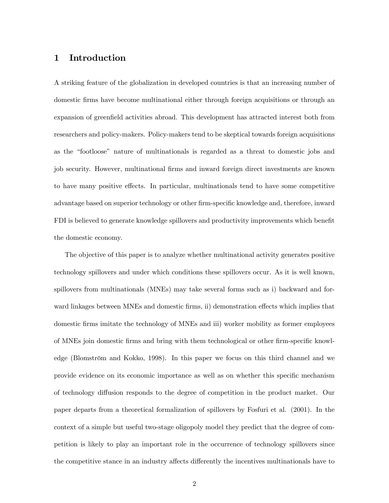## 1 Introduction

A striking feature of the globalization in developed countries is that an increasing number of domestic firms have become multinational either through foreign acquisitions or through an expansion of greenfield activities abroad. This development has attracted interest both from researchers and policy-makers. Policy-makers tend to be skeptical towards foreign acquisitions as the "footloose" nature of multinationals is regarded as a threat to domestic jobs and job security. However, multinational Örms and inward foreign direct investments are known to have many positive effects. In particular, multinationals tend to have some competitive advantage based on superior technology or other firm-specific knowledge and, therefore, inward FDI is believed to generate knowledge spillovers and productivity improvements which benefit the domestic economy.

The objective of this paper is to analyze whether multinational activity generates positive technology spillovers and under which conditions these spillovers occur. As it is well known, spillovers from multinationals (MNEs) may take several forms such as i) backward and forward linkages between MNEs and domestic firms, ii) demonstration effects which implies that domestic firms imitate the technology of MNEs and iii) worker mobility as former employees of MNEs join domestic firms and bring with them technological or other firm-specific knowledge (Blomström and Kokko, 1998). In this paper we focus on this third channel and we provide evidence on its economic importance as well as on whether this specific mechanism of technology diffusion responds to the degree of competition in the product market. Our paper departs from a theoretical formalization of spillovers by Fosfuri et al. (2001). In the context of a simple but useful two-stage oligopoly model they predict that the degree of competition is likely to play an important role in the occurrence of technology spillovers since the competitive stance in an industry affects differently the incentives multinationals have to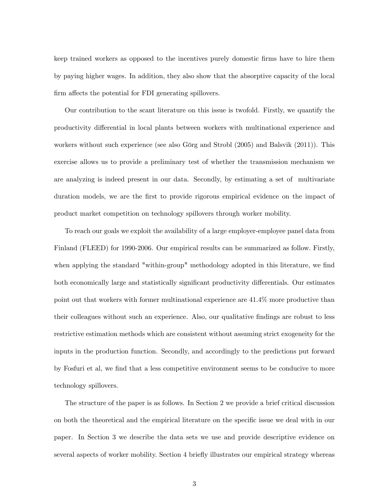keep trained workers as opposed to the incentives purely domestic Örms have to hire them by paying higher wages. In addition, they also show that the absorptive capacity of the local firm affects the potential for FDI generating spillovers.

Our contribution to the scant literature on this issue is twofold. Firstly, we quantify the productivity differential in local plants between workers with multinational experience and workers without such experience (see also Görg and Strobl  $(2005)$  and Balsvik  $(2011)$ ). This exercise allows us to provide a preliminary test of whether the transmission mechanism we are analyzing is indeed present in our data. Secondly, by estimating a set of multivariate duration models, we are the first to provide rigorous empirical evidence on the impact of product market competition on technology spillovers through worker mobility.

To reach our goals we exploit the availability of a large employer-employee panel data from Finland (FLEED) for 1990-2006. Our empirical results can be summarized as follow. Firstly, when applying the standard "within-group" methodology adopted in this literature, we find both economically large and statistically significant productivity differentials. Our estimates point out that workers with former multinational experience are 41.4% more productive than their colleagues without such an experience. Also, our qualitative findings are robust to less restrictive estimation methods which are consistent without assuming strict exogeneity for the inputs in the production function. Secondly, and accordingly to the predictions put forward by Fosfuri et al, we find that a less competitive environment seems to be conducive to more technology spillovers.

The structure of the paper is as follows. In Section 2 we provide a brief critical discussion on both the theoretical and the empirical literature on the specific issue we deal with in our paper. In Section 3 we describe the data sets we use and provide descriptive evidence on several aspects of worker mobility. Section 4 briefly illustrates our empirical strategy whereas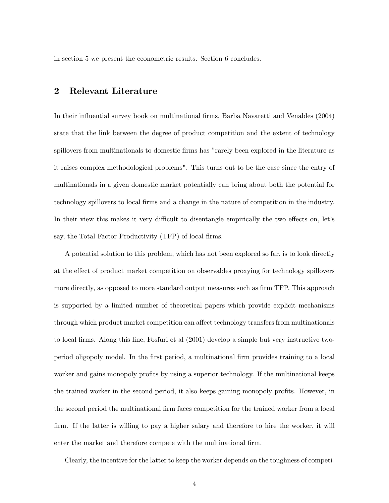in section 5 we present the econometric results. Section 6 concludes.

## 2 Relevant Literature

In their influential survey book on multinational firms, Barba Navaretti and Venables (2004) state that the link between the degree of product competition and the extent of technology spillovers from multinationals to domestic firms has "rarely been explored in the literature as it raises complex methodological problems". This turns out to be the case since the entry of multinationals in a given domestic market potentially can bring about both the potential for technology spillovers to local Örms and a change in the nature of competition in the industry. In their view this makes it very difficult to disentangle empirically the two effects on, let's say, the Total Factor Productivity (TFP) of local firms.

A potential solution to this problem, which has not been explored so far, is to look directly at the effect of product market competition on observables proxying for technology spillovers more directly, as opposed to more standard output measures such as firm TFP. This approach is supported by a limited number of theoretical papers which provide explicit mechanisms through which product market competition can affect technology transfers from multinationals to local Örms. Along this line, Fosfuri et al (2001) develop a simple but very instructive twoperiod oligopoly model. In the Örst period, a multinational Örm provides training to a local worker and gains monopoly profits by using a superior technology. If the multinational keeps the trained worker in the second period, it also keeps gaining monopoly profits. However, in the second period the multinational firm faces competition for the trained worker from a local firm. If the latter is willing to pay a higher salary and therefore to hire the worker, it will enter the market and therefore compete with the multinational firm.

Clearly, the incentive for the latter to keep the worker depends on the toughness of competi-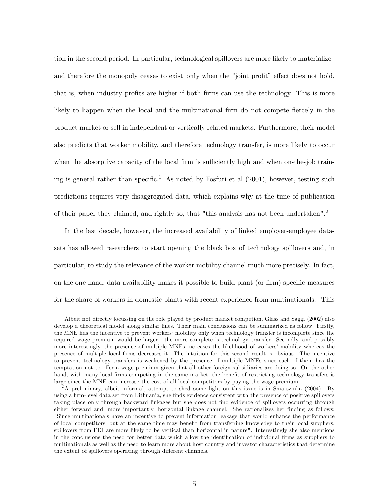tion in the second period. In particular, technological spillovers are more likely to materialize and therefore the monopoly ceases to exist-only when the "joint profit" effect does not hold, that is, when industry profits are higher if both firms can use the technology. This is more likely to happen when the local and the multinational firm do not compete fiercely in the product market or sell in independent or vertically related markets. Furthermore, their model also predicts that worker mobility, and therefore technology transfer, is more likely to occur when the absorptive capacity of the local firm is sufficiently high and when on-the-job training is general rather than specific.<sup>1</sup> As noted by Fosfuri et al  $(2001)$ , however, testing such predictions requires very disaggregated data, which explains why at the time of publication of their paper they claimed, and rightly so, that "this analysis has not been undertaken".<sup>2</sup>

In the last decade, however, the increased availability of linked employer-employee datasets has allowed researchers to start opening the black box of technology spillovers and, in particular, to study the relevance of the worker mobility channel much more precisely. In fact, on the one hand, data availability makes it possible to build plant (or firm) specific measures for the share of workers in domestic plants with recent experience from multinationals. This

<sup>&</sup>lt;sup>1</sup>Albeit not directly focussing on the role played by product market competion, Glass and Saggi (2002) also develop a theoretical model along similar lines. Their main conclusions can be summarized as follow. Firstly, the MNE has the incentive to prevent workers' mobility only when technology transfer is incomplete since the required wage premium would be larger - the more complete is technology transfer. Secondly, and possibly more interestingly, the presence of multiple MNEs increases the likelihood of workers' mobility whereas the presence of multiple local Örms decreases it. The intuition for this second result is obvious. The incentive to prevent technology transfers is weakened by the presence of multiple MNEs since each of them has the temptation not to offer a wage premium given that all other foreign subsidiaries are doing so. On the other hand, with many local firms competing in the same market, the benefit of restricting technology transfers is large since the MNE can increase the cost of all local competitors by paying the wage premium.

 $2A$  preliminary, albeit informal, attempt to shed some light on this issue is in Smarszinka (2004). By using a firm-level data set from Lithuania, she finds evidence consistent with the presence of positive spillovers taking place only through backward linkages but she does not find evidence of spillovers occurring through either forward and, more importantly, horizontal linkage channel. She rationalizes her finding as follows: "Since multinationals have an incentive to prevent information leakage that would enhance the performance of local competitors, but at the same time may benefit from transferring knowledge to their local suppliers, spillovers from FDI are more likely to be vertical than horizontal in nature". Interestingly she also mentions in the conclusions the need for better data which allow the identification of individual firms as suppliers to multinationals as well as the need to learn more about host country and investor characteristics that determine the extent of spillovers operating through different channels.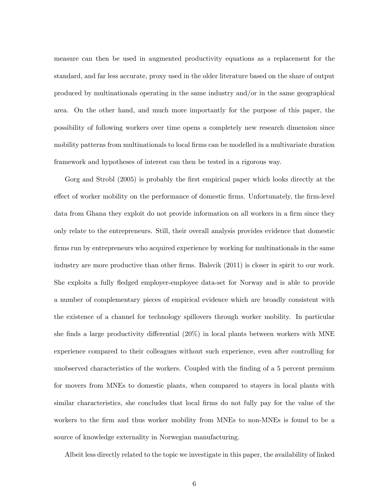measure can then be used in augmented productivity equations as a replacement for the standard, and far less accurate, proxy used in the older literature based on the share of output produced by multinationals operating in the same industry and/or in the same geographical area. On the other hand, and much more importantly for the purpose of this paper, the possibility of following workers over time opens a completely new research dimension since mobility patterns from multinationals to local firms can be modelled in a multivariate duration framework and hypotheses of interest can then be tested in a rigorous way.

Gorg and Strobl (2005) is probably the first empirical paper which looks directly at the effect of worker mobility on the performance of domestic firms. Unfortunately, the firm-level data from Ghana they exploit do not provide information on all workers in a firm since they only relate to the entrepreneurs. Still, their overall analysis provides evidence that domestic firms run by entrepreneurs who acquired experience by working for multinationals in the same industry are more productive than other firms. Balsvik (2011) is closer in spirit to our work. She exploits a fully fledged employer-employee data-set for Norway and is able to provide a number of complementary pieces of empirical evidence which are broadly consistent with the existence of a channel for technology spillovers through worker mobility. In particular she finds a large productivity differential  $(20\%)$  in local plants between workers with MNE experience compared to their colleagues without such experience, even after controlling for unobserved characteristics of the workers. Coupled with the Önding of a 5 percent premium for movers from MNEs to domestic plants, when compared to stayers in local plants with similar characteristics, she concludes that local firms do not fully pay for the value of the workers to the firm and thus worker mobility from MNEs to non-MNEs is found to be a source of knowledge externality in Norwegian manufacturing.

Albeit less directly related to the topic we investigate in this paper, the availability of linked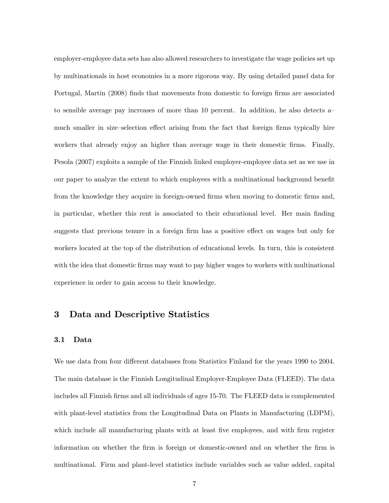employer-employee data sets has also allowed researchers to investigate the wage policies set up by multinationals in host economies in a more rigorous way. By using detailed panel data for Portugal, Martin (2008) finds that movements from domestic to foreign firms are associated to sensible average pay increases of more than 10 percent. In addition, he also detects  $a$ much smaller in size-selection effect arising from the fact that foreign firms typically hire workers that already enjoy an higher than average wage in their domestic firms. Finally, Pesola (2007) exploits a sample of the Finnish linked employer-employee data set as we use in our paper to analyze the extent to which employees with a multinational background benefit from the knowledge they acquire in foreign-owned firms when moving to domestic firms and, in particular, whether this rent is associated to their educational level. Her main Önding suggests that previous tenure in a foreign firm has a positive effect on wages but only for workers located at the top of the distribution of educational levels. In turn, this is consistent with the idea that domestic firms may want to pay higher wages to workers with multinational experience in order to gain access to their knowledge.

## 3 Data and Descriptive Statistics

#### 3.1 Data

We use data from four different databases from Statistics Finland for the years 1990 to 2004. The main database is the Finnish Longitudinal Employer-Employee Data (FLEED). The data includes all Finnish firms and all individuals of ages 15-70. The FLEED data is complemented with plant-level statistics from the Longitudinal Data on Plants in Manufacturing (LDPM), which include all manufacturing plants with at least five employees, and with firm register information on whether the Örm is foreign or domestic-owned and on whether the Örm is multinational. Firm and plant-level statistics include variables such as value added, capital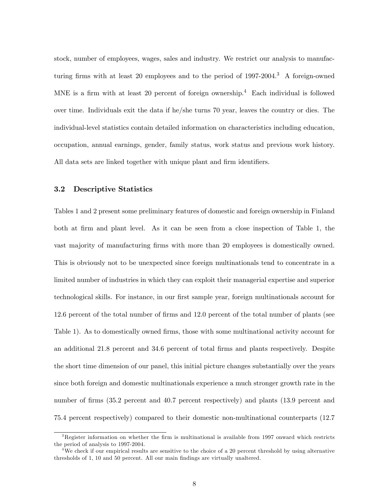stock, number of employees, wages, sales and industry. We restrict our analysis to manufacturing firms with at least 20 employees and to the period of  $1997-2004$ .<sup>3</sup> A foreign-owned MNE is a firm with at least 20 percent of foreign ownership.<sup>4</sup> Each individual is followed over time. Individuals exit the data if he/she turns 70 year, leaves the country or dies. The individual-level statistics contain detailed information on characteristics including education, occupation, annual earnings, gender, family status, work status and previous work history. All data sets are linked together with unique plant and firm identifiers.

#### 3.2 Descriptive Statistics

Tables 1 and 2 present some preliminary features of domestic and foreign ownership in Finland both at firm and plant level. As it can be seen from a close inspection of Table 1, the vast majority of manufacturing firms with more than 20 employees is domestically owned. This is obviously not to be unexpected since foreign multinationals tend to concentrate in a limited number of industries in which they can exploit their managerial expertise and superior technological skills. For instance, in our first sample year, foreign multinationals account for 12.6 percent of the total number of firms and 12.0 percent of the total number of plants (see Table 1). As to domestically owned firms, those with some multinational activity account for an additional 21.8 percent and 34.6 percent of total firms and plants respectively. Despite the short time dimension of our panel, this initial picture changes substantially over the years since both foreign and domestic multinationals experience a much stronger growth rate in the number of firms (35.2 percent and 40.7 percent respectively) and plants (13.9 percent and 75.4 percent respectively) compared to their domestic non-multinational counterparts (12.7

 $3$ Register information on whether the firm is multinational is available from 1997 onward which restricts the period of analysis to 1997-2004.

<sup>&</sup>lt;sup>4</sup>We check if our empirical results are sensitive to the choice of a 20 percent threshold by using alternative thresholds of 1, 10 and 50 percent. All our main findings are virtually unaltered.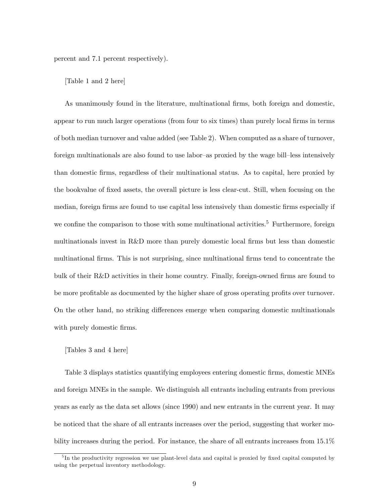percent and 7.1 percent respectively).

#### [Table 1 and 2 here]

As unanimously found in the literature, multinational firms, both foreign and domestic, appear to run much larger operations (from four to six times) than purely local firms in terms of both median turnover and value added (see Table 2). When computed as a share of turnover, foreign multinationals are also found to use labor-as proxied by the wage bill-less intensively than domestic Örms, regardless of their multinational status. As to capital, here proxied by the bookvalue of Öxed assets, the overall picture is less clear-cut. Still, when focusing on the median, foreign firms are found to use capital less intensively than domestic firms especially if we confine the comparison to those with some multinational activities.<sup>5</sup> Furthermore, foreign multinationals invest in R&D more than purely domestic local Örms but less than domestic multinational firms. This is not surprising, since multinational firms tend to concentrate the bulk of their R&D activities in their home country. Finally, foreign-owned firms are found to be more profitable as documented by the higher share of gross operating profits over turnover. On the other hand, no striking differences emerge when comparing domestic multinationals with purely domestic firms.

#### [Tables 3 and 4 here]

Table 3 displays statistics quantifying employees entering domestic firms, domestic MNEs and foreign MNEs in the sample. We distinguish all entrants including entrants from previous years as early as the data set allows (since 1990) and new entrants in the current year. It may be noticed that the share of all entrants increases over the period, suggesting that worker mobility increases during the period. For instance, the share of all entrants increases from 15.1%

<sup>&</sup>lt;sup>5</sup>In the productivity regression we use plant-level data and capital is proxied by fixed capital computed by using the perpetual inventory methodology.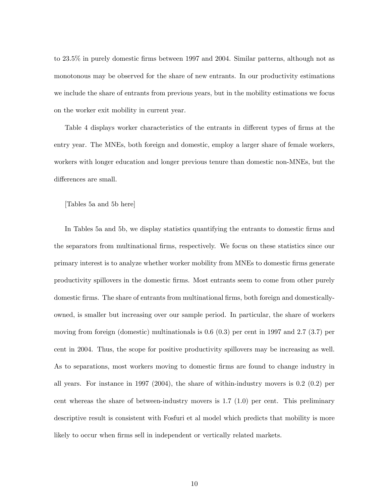to 23.5% in purely domestic firms between 1997 and 2004. Similar patterns, although not as monotonous may be observed for the share of new entrants. In our productivity estimations we include the share of entrants from previous years, but in the mobility estimations we focus on the worker exit mobility in current year.

Table 4 displays worker characteristics of the entrants in different types of firms at the entry year. The MNEs, both foreign and domestic, employ a larger share of female workers, workers with longer education and longer previous tenure than domestic non-MNEs, but the differences are small.

#### [Tables 5a and 5b here]

In Tables 5a and 5b, we display statistics quantifying the entrants to domestic Örms and the separators from multinational Örms, respectively. We focus on these statistics since our primary interest is to analyze whether worker mobility from MNEs to domestic Örms generate productivity spillovers in the domestic Örms. Most entrants seem to come from other purely domestic firms. The share of entrants from multinational firms, both foreign and domesticallyowned, is smaller but increasing over our sample period. In particular, the share of workers moving from foreign (domestic) multinationals is  $0.6$   $(0.3)$  per cent in 1997 and 2.7  $(3.7)$  per cent in 2004. Thus, the scope for positive productivity spillovers may be increasing as well. As to separations, most workers moving to domestic firms are found to change industry in all years. For instance in 1997 (2004), the share of within-industry movers is 0.2 (0.2) per cent whereas the share of between-industry movers is 1.7 (1.0) per cent. This preliminary descriptive result is consistent with Fosfuri et al model which predicts that mobility is more likely to occur when firms sell in independent or vertically related markets.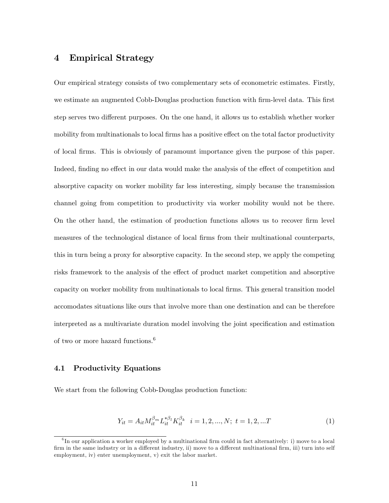## 4 Empirical Strategy

Our empirical strategy consists of two complementary sets of econometric estimates. Firstly, we estimate an augmented Cobb-Douglas production function with firm-level data. This first step serves two different purposes. On the one hand, it allows us to establish whether worker mobility from multinationals to local firms has a positive effect on the total factor productivity of local Örms. This is obviously of paramount importance given the purpose of this paper. Indeed, finding no effect in our data would make the analysis of the effect of competition and absorptive capacity on worker mobility far less interesting, simply because the transmission channel going from competition to productivity via worker mobility would not be there. On the other hand, the estimation of production functions allows us to recover Örm level measures of the technological distance of local firms from their multinational counterparts, this in turn being a proxy for absorptive capacity. In the second step, we apply the competing risks framework to the analysis of the effect of product market competition and absorptive capacity on worker mobility from multinationals to local Örms. This general transition model accomodates situations like ours that involve more than one destination and can be therefore interpreted as a multivariate duration model involving the joint specification and estimation of two or more hazard functions.<sup>6</sup>

#### 4.1 Productivity Equations

We start from the following Cobb-Douglas production function:

$$
Y_{it} = A_{it} M_{it}^{\beta_m} L_{it}^{*\beta_l} K_{it}^{\beta_k} \quad i = 1, 2, ..., N; \ t = 1, 2, ...T
$$
 (1)

 ${}^{6}$ In our application a worker employed by a multinational firm could in fact alternatively: i) move to a local firm in the same industry or in a different industry, ii) move to a different multinational firm, iii) turn into self employment, iv) enter unemployment, v) exit the labor market.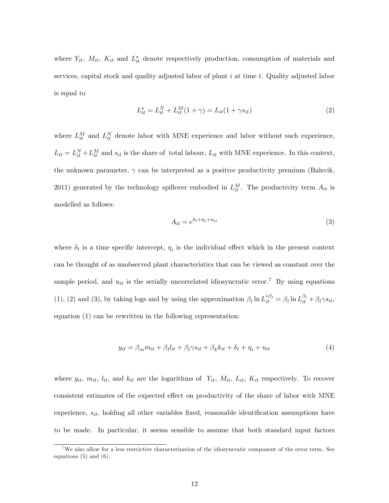where  $Y_{it}$ ,  $M_{it}$ ,  $K_{it}$  and  $L_{it}^{*}$  denote respectively production, consumption of materials and services, capital stock and quality adjusted labor of plant  $i$  at time  $t$ . Quality adjusted labor is equal to

$$
L_{it}^{*} = L_{it}^{N} + L_{it}^{M} (1 + \gamma) = L_{it} (1 + \gamma s_{it})
$$
\n(2)

where  $L_{it}^M$  and  $L_{it}^N$  denote labor with MNE experience and labor without such experience,  $L_{it} = L_{it}^N + L_{it}^M$  and  $s_{it}$  is the share of total labour,  $L_{it}$  with MNE experience. In this context, the unknown parameter,  $\gamma$  can be interpreted as a positive productivity premium (Balsvik, 2011) generated by the technology spillover embodied in  $L_{it}^M$ . The productivity term  $A_{it}$  is modelled as follows:

$$
A_{it} = e^{\delta_t + \eta_i + u_{it}} \tag{3}
$$

where  $\delta_t$  is a time specific intercept,  $\eta_i$  is the individual effect which in the present context can be thought of as unobserved plant characteristics that can be viewed as constant over the sample period, and  $u_{it}$  is the serially uncorrelated idiosyncratic error.<sup>7</sup> By using equations (1), (2) and (3), by taking logs and by using the approximation  $\beta_l \ln L_{it}^{*\beta_l} = \beta_l \ln L_{it}^{\beta_l} + \beta_l \gamma s_{it}$ , equation (1) can be rewritten in the following representation:

$$
y_{it} = \beta_m m_{it} + \beta_l l_{it} + \beta_l \gamma s_{it} + \beta_k k_{it} + \delta_t + \eta_i + u_{it}
$$
\n<sup>(4)</sup>

where  $y_{it}$ ,  $m_{it}$ ,  $l_{it}$ , and  $k_{it}$  are the logarithms of  $Y_{it}$ ,  $M_{it}$ ,  $L_{it}$ ,  $K_{it}$  respectively. To recover consistent estimates of the expected effect on productivity of the share of labor with MNE experience,  $s_{it}$ , holding all other variables fixed, reasonable identification assumptions have to be made. In particular, it seems sensible to assume that both standard input factors

<sup>&</sup>lt;sup>7</sup>We also allow for a less restrictive characterization of the idiosyncratic component of the error term. See equations  $(5)$  and  $(6)$ .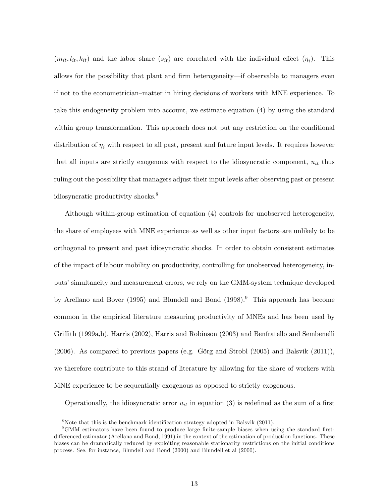$(m_{it}, l_{it}, k_{it})$  and the labor share  $(s_{it})$  are correlated with the individual effect  $(\eta_i)$ . This allows for the possibility that plant and firm heterogeneity—if observable to managers even if not to the econometrician–matter in hiring decisions of workers with MNE experience. To take this endogeneity problem into account, we estimate equation (4) by using the standard within group transformation. This approach does not put any restriction on the conditional distribution of  $\eta_i$  with respect to all past, present and future input levels. It requires however that all inputs are strictly exogenous with respect to the idiosyncratic component,  $u_{it}$  thus ruling out the possibility that managers adjust their input levels after observing past or present idiosyncratic productivity shocks.<sup>8</sup>

Although within-group estimation of equation (4) controls for unobserved heterogeneity, the share of employees with MNE experience—as well as other input factors—are unlikely to be orthogonal to present and past idiosyncratic shocks. In order to obtain consistent estimates of the impact of labour mobility on productivity, controlling for unobserved heterogeneity, inputs' simultaneity and measurement errors, we rely on the GMM-system technique developed by Arellano and Bover (1995) and Blundell and Bond (1998).<sup>9</sup> This approach has become common in the empirical literature measuring productivity of MNEs and has been used by Griffith (1999a,b), Harris (2002), Harris and Robinson (2003) and Benfratello and Sembenelli  $(2006)$ . As compared to previous papers (e.g. Görg and Strobl  $(2005)$  and Balsvik  $(2011)$ ), we therefore contribute to this strand of literature by allowing for the share of workers with MNE experience to be sequentially exogenous as opposed to strictly exogenous.

Operationally, the idiosyncratic error  $u_{it}$  in equation (3) is redefined as the sum of a first

 $8$ Note that this is the benchmark identification strategy adopted in Balsvik (2011).

<sup>&</sup>lt;sup>9</sup>GMM estimators have been found to produce large finite-sample biases when using the standard firstdifferenced estimator (Arellano and Bond, 1991) in the context of the estimation of production functions. These biases can be dramatically reduced by exploiting reasonable stationarity restrictions on the initial conditions process. See, for instance, Blundell and Bond (2000) and Blundell et al (2000).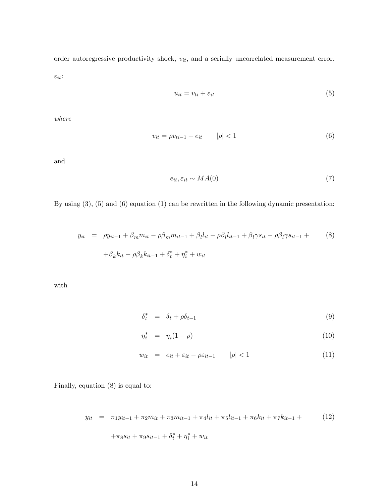order autoregressive productivity shock,  $v_{it}$ , and a serially uncorrelated measurement error,  $\varepsilon_{it}$ :

$$
u_{it} = v_{ti} + \varepsilon_{it} \tag{5}
$$

where

$$
v_{it} = \rho v_{ti-1} + e_{it} \qquad |\rho| < 1 \tag{6}
$$

and

$$
e_{it}, \varepsilon_{it} \sim MA(0) \tag{7}
$$

By using (3), (5) and (6) equation (1) can be rewritten in the following dynamic presentation:

$$
y_{it} = \rho y_{it-1} + \beta_m m_{it} - \rho \beta_m m_{it-1} + \beta_l l_{it} - \rho \beta_l l_{it-1} + \beta_l \gamma s_{it} - \rho \beta_l \gamma s_{it-1} +
$$
  
+  $\beta_k k_{it} - \rho \beta_k k_{it-1} + \delta_t^* + \eta_i^* + w_{it}$  (8)

with

$$
\delta_t^* = \delta_t + \rho \delta_{t-1} \tag{9}
$$

$$
\eta_i^* = \eta_i (1 - \rho) \tag{10}
$$

$$
w_{it} = e_{it} + \varepsilon_{it} - \rho \varepsilon_{it-1} \qquad |\rho| < 1 \tag{11}
$$

Finally, equation (8) is equal to:

$$
y_{it} = \pi_1 y_{it-1} + \pi_2 m_{it} + \pi_3 m_{it-1} + \pi_4 l_{it} + \pi_5 l_{it-1} + \pi_6 k_{it} + \pi_7 k_{it-1} + \tag{12}
$$

$$
+\pi_8 s_{it} + \pi_9 s_{it-1} + \delta_t^* + \eta_i^* + w_{it}
$$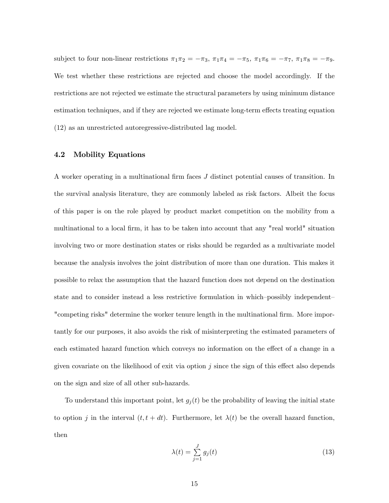subject to four non-linear restrictions  $\pi_1 \pi_2 = -\pi_3$ ,  $\pi_1 \pi_4 = -\pi_5$ ,  $\pi_1 \pi_6 = -\pi_7$ ,  $\pi_1 \pi_8 = -\pi_9$ . We test whether these restrictions are rejected and choose the model accordingly. If the restrictions are not rejected we estimate the structural parameters by using minimum distance estimation techniques, and if they are rejected we estimate long-term effects treating equation (12) as an unrestricted autoregressive-distributed lag model.

#### 4.2 Mobility Equations

A worker operating in a multinational firm faces  $J$  distinct potential causes of transition. In the survival analysis literature, they are commonly labeled as risk factors. Albeit the focus of this paper is on the role played by product market competition on the mobility from a multinational to a local firm, it has to be taken into account that any "real world" situation involving two or more destination states or risks should be regarded as a multivariate model because the analysis involves the joint distribution of more than one duration. This makes it possible to relax the assumption that the hazard function does not depend on the destination state and to consider instead a less restrictive formulation in which-possibly independent— "competing risks" determine the worker tenure length in the multinational firm. More importantly for our purposes, it also avoids the risk of misinterpreting the estimated parameters of each estimated hazard function which conveys no information on the effect of a change in a given covariate on the likelihood of exit via option  $j$  since the sign of this effect also depends on the sign and size of all other sub-hazards.

To understand this important point, let  $g_j(t)$  be the probability of leaving the initial state to option j in the interval  $(t, t + dt)$ . Furthermore, let  $\lambda(t)$  be the overall hazard function, then

$$
\lambda(t) = \sum_{j=1}^{J} g_j(t) \tag{13}
$$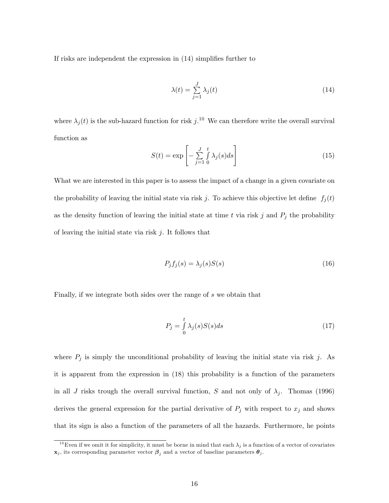If risks are independent the expression in  $(14)$  simplifies further to

$$
\lambda(t) = \sum_{j=1}^{J} \lambda_j(t) \tag{14}
$$

where  $\lambda_j(t)$  is the sub-hazard function for risk  $j$ .<sup>10</sup> We can therefore write the overall survival function as

$$
S(t) = \exp\left[-\sum_{j=1}^{J} \int_{0}^{t} \lambda_j(s) ds\right]
$$
 (15)

What we are interested in this paper is to assess the impact of a change in a given covariate on the probability of leaving the initial state via risk j. To achieve this objective let define  $f_j(t)$ as the density function of leaving the initial state at time t via risk j and  $P_j$  the probability of leaving the initial state via risk  $j$ . It follows that

$$
P_j f_j(s) = \lambda_j(s) S(s) \tag{16}
$$

Finally, if we integrate both sides over the range of s we obtain that

$$
P_j = \int_0^t \lambda_j(s)S(s)ds\tag{17}
$$

where  $P_j$  is simply the unconditional probability of leaving the initial state via risk j. As it is apparent from the expression in (18) this probability is a function of the parameters in all J risks trough the overall survival function, S and not only of  $\lambda_j$ . Thomas (1996) derives the general expression for the partial derivative of  $P_j$  with respect to  $x_j$  and shows that its sign is also a function of the parameters of all the hazards. Furthermore, he points

<sup>&</sup>lt;sup>10</sup>Even if we omit it for simplicity, it must be borne in mind that each  $\lambda_j$  is a function of a vector of covariates  $\mathbf{x}_j$ , its corresponding parameter vector  $\boldsymbol{\beta}_j$  and a vector of baseline parameters  $\boldsymbol{\theta}_j$ .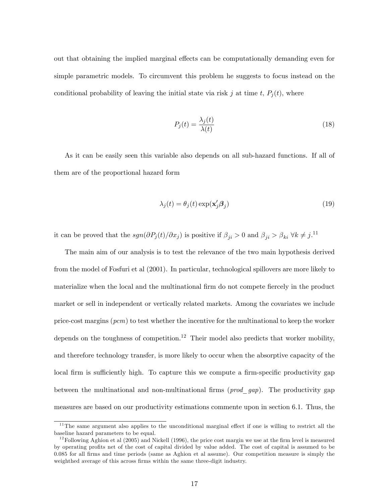out that obtaining the implied marginal effects can be computationally demanding even for simple parametric models. To circumvent this problem he suggests to focus instead on the conditional probability of leaving the initial state via risk j at time t,  $P_i(t)$ , where

$$
P_j(t) = \frac{\lambda_j(t)}{\lambda(t)}
$$
\n(18)

As it can be easily seen this variable also depends on all sub-hazard functions. If all of them are of the proportional hazard form

$$
\lambda_j(t) = \theta_j(t) \exp(\mathbf{x}_j' \mathbf{\beta}_j)
$$
\n(19)

it can be proved that the  $sgn(\partial P_j(t)/\partial x_j )$  is positive if  $\beta_{ji} > 0$  and  $\beta_{ji} > \beta_{ki} \ \forall k \neq j$ .<sup>11</sup>

The main aim of our analysis is to test the relevance of the two main hypothesis derived from the model of Fosfuri et al (2001). In particular, technological spillovers are more likely to materialize when the local and the multinational firm do not compete fiercely in the product market or sell in independent or vertically related markets. Among the covariates we include price-cost margins  $(pcm)$  to test whether the incentive for the multinational to keep the worker depends on the toughness of competition.<sup>12</sup> Their model also predicts that worker mobility, and therefore technology transfer, is more likely to occur when the absorptive capacity of the local firm is sufficiently high. To capture this we compute a firm-specific productivity gap between the multinational and non-multinational firms  $(pred\,gap)$ . The productivity gap measures are based on our productivity estimations commente upon in section 6.1. Thus, the

 $11$ <sup>The</sup> same argument also applies to the unconditional marginal effect if one is willing to restrict all the baseline hazard parameters to be equal.

 $12$  Following Aghion et al (2005) and Nickell (1996), the price cost margin we use at the firm level is measured by operating profits net of the cost of capital divided by value added. The cost of capital is assumed to be 0.085 for all Örms and time periods (same as Aghion et al assume). Our competition measure is simply the weighthed average of this across firms within the same three-digit industry.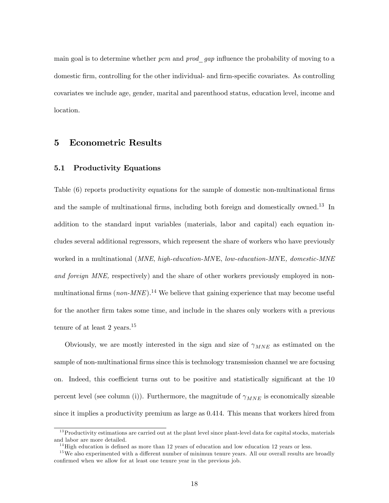main goal is to determine whether pcm and prod gap influence the probability of moving to a domestic firm, controlling for the other individual- and firm-specific covariates. As controlling covariates we include age, gender, marital and parenthood status, education level, income and location.

## 5 Econometric Results

### 5.1 Productivity Equations

Table (6) reports productivity equations for the sample of domestic non-multinational firms and the sample of multinational firms, including both foreign and domestically owned.<sup>13</sup> In addition to the standard input variables (materials, labor and capital) each equation includes several additional regressors, which represent the share of workers who have previously worked in a multinational (*MNE*, *high-education-MNE*, *low-education-MNE*, *domestic-MNE* and foreign MNE, respectively) and the share of other workers previously employed in nonmultinational firms  $(non-MNE)$ .<sup>14</sup> We believe that gaining experience that may become useful for the another firm takes some time, and include in the shares only workers with a previous tenure of at least 2 years.<sup>15</sup>

Obviously, we are mostly interested in the sign and size of  $\gamma_{MNE}$  as estimated on the sample of non-multinational firms since this is technology transmission channel we are focusing on. Indeed, this coefficient turns out to be positive and statistically significant at the 10 percent level (see column (i)). Furthermore, the magnitude of  $\gamma_{MNE}$  is economically sizeable since it implies a productivity premium as large as 0.414. This means that workers hired from

 $13$ Productivity estimations are carried out at the plant level since plant-level data for capital stocks, materials and labor are more detailed.

 $14$  High education is defined as more than 12 years of education and low education 12 years or less.

 $15$  We also experimented with a different number of minimun tenure years. All our overall results are broadly confirmed when we allow for at least one tenure year in the previous job.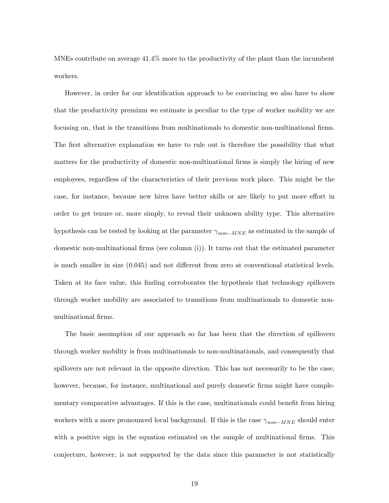MNEs contribute on average 41.4% more to the productivity of the plant than the incumbent workers.

However, in order for our identification approach to be convincing we also have to show that the productivity premium we estimate is peculiar to the type of worker mobility we are focusing on, that is the transitions from multinationals to domestic non-multinational firms. The first alternative explanation we have to rule out is therefore the possibility that what matters for the productivity of domestic non-multinational firms is simply the hiring of new employees, regardless of the characteristics of their previous work place. This might be the case, for instance, because new hires have better skills or are likely to put more effort in order to get tenure or, more simply, to reveal their unknown ability type. This alternative hypothesis can be tested by looking at the parameter  $\gamma_{non-MNE}$  as estimated in the sample of domestic non-multinational firms (see column  $(i)$ ). It turns out that the estimated parameter is much smaller in size  $(0.045)$  and not different from zero at conventional statistical levels. Taken at its face value, this Önding corroborates the hypothesis that technology spillovers through worker mobility are associated to transitions from multinationals to domestic nonmultinational firms.

The basic assumption of our approach so far has been that the direction of spillovers through worker mobility is from multinationals to non-multinationals, and consequently that spillovers are not relevant in the opposite direction. This has not necessarily to be the case, however, because, for instance, multinational and purely domestic firms might have complementary comparative advantages. If this is the case, multinationals could benefit from hiring workers with a more pronounced local background. If this is the case  $\gamma_{non-MNE}$  should enter with a positive sign in the equation estimated on the sample of multinational firms. This conjecture, however, is not supported by the data since this parameter is not statistically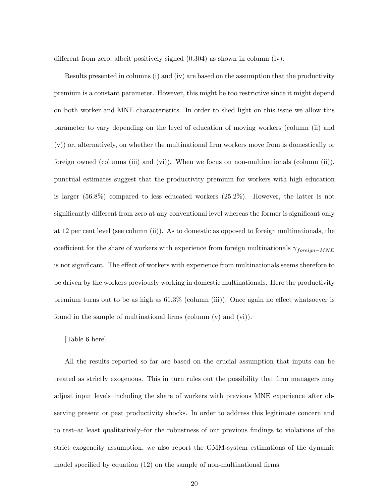different from zero, albeit positively signed  $(0.304)$  as shown in column (iv).

Results presented in columns (i) and (iv) are based on the assumption that the productivity premium is a constant parameter. However, this might be too restrictive since it might depend on both worker and MNE characteristics. In order to shed light on this issue we allow this parameter to vary depending on the level of education of moving workers (column (ii) and  $(v)$ ) or, alternatively, on whether the multinational firm workers move from is domestically or foreign owned (columns (iii) and (vi)). When we focus on non-multinationals (column (ii)), punctual estimates suggest that the productivity premium for workers with high education is larger (56.8%) compared to less educated workers (25.2%). However, the latter is not significantly different from zero at any conventional level whereas the former is significant only at 12 per cent level (see column (ii)). As to domestic as opposed to foreign multinationals, the coefficient for the share of workers with experience from foreign multinationals  $\gamma_{foreign-MNE}$ is not significant. The effect of workers with experience from multinationals seems therefore to be driven by the workers previously working in domestic multinationals. Here the productivity premium turns out to be as high as  $61.3\%$  (column (iii)). Once again no effect whatsoever is found in the sample of multinational firms (column  $(v)$ ) and  $(vi)$ ).

#### [Table 6 here]

All the results reported so far are based on the crucial assumption that inputs can be treated as strictly exogenous. This in turn rules out the possibility that firm managers may adjust input levels-including the share of workers with previous MNE experience-after observing present or past productivity shocks. In order to address this legitimate concern and to test-at least qualitatively-for the robustness of our previous findings to violations of the strict exogeneity assumption, we also report the GMM-system estimations of the dynamic model specified by equation  $(12)$  on the sample of non-multinational firms.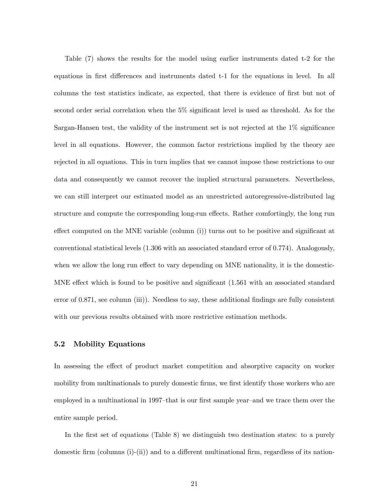Table (7) shows the results for the model using earlier instruments dated t-2 for the equations in first differences and instruments dated t-1 for the equations in level. In all columns the test statistics indicate, as expected, that there is evidence of first but not of second order serial correlation when the  $5\%$  significant level is used as threshold. As for the Sargan-Hansen test, the validity of the instrument set is not rejected at the  $1\%$  significance level in all equations. However, the common factor restrictions implied by the theory are rejected in all equations. This in turn implies that we cannot impose these restrictions to our data and consequently we cannot recover the implied structural parameters. Nevertheless, we can still interpret our estimated model as an unrestricted autoregressive-distributed lag structure and compute the corresponding long-run effects. Rather comfortingly, the long run effect computed on the MNE variable (column  $(i)$ ) turns out to be positive and significant at conventional statistical levels (1.306 with an associated standard error of 0.774). Analogously, when we allow the long run effect to vary depending on MNE nationality, it is the domestic-MNE effect which is found to be positive and significant  $(1.561 \text{ with an associated standard})$ error of 0.871, see column (iii)). Needless to say, these additional findings are fully consistent with our previous results obtained with more restrictive estimation methods.

#### 5.2 Mobility Equations

In assessing the effect of product market competition and absorptive capacity on worker mobility from multinationals to purely domestic firms, we first identify those workers who are employed in a multinational in 1997–that is our first sample year–and we trace them over the entire sample period.

In the first set of equations (Table 8) we distinguish two destination states: to a purely domestic firm (columns (i)-(ii)) and to a different multinational firm, regardless of its nation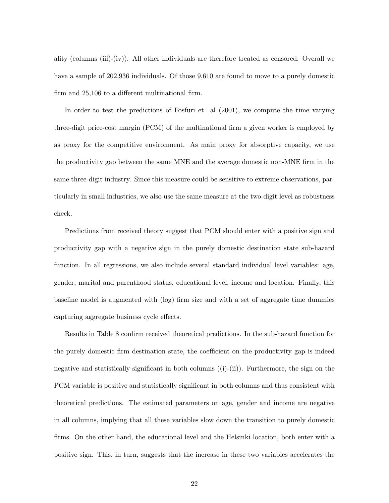ality (columns (iii)-(iv)). All other individuals are therefore treated as censored. Overall we have a sample of 202,936 individuals. Of those 9,610 are found to move to a purely domestic firm and  $25,106$  to a different multinational firm.

In order to test the predictions of Fosfuri et al (2001), we compute the time varying three-digit price-cost margin (PCM) of the multinational firm a given worker is employed by as proxy for the competitive environment. As main proxy for absorptive capacity, we use the productivity gap between the same MNE and the average domestic non-MNE firm in the same three-digit industry. Since this measure could be sensitive to extreme observations, particularly in small industries, we also use the same measure at the two-digit level as robustness check.

Predictions from received theory suggest that PCM should enter with a positive sign and productivity gap with a negative sign in the purely domestic destination state sub-hazard function. In all regressions, we also include several standard individual level variables: age, gender, marital and parenthood status, educational level, income and location. Finally, this baseline model is augmented with (log) Örm size and with a set of aggregate time dummies capturing aggregate business cycle effects.

Results in Table 8 confirm received theoretical predictions. In the sub-hazard function for the purely domestic firm destination state, the coefficient on the productivity gap is indeed negative and statistically significant in both columns  $((i)-(ii))$ . Furthermore, the sign on the PCM variable is positive and statistically significant in both columns and thus consistent with theoretical predictions. The estimated parameters on age, gender and income are negative in all columns, implying that all these variables slow down the transition to purely domestic firms. On the other hand, the educational level and the Helsinki location, both enter with a positive sign. This, in turn, suggests that the increase in these two variables accelerates the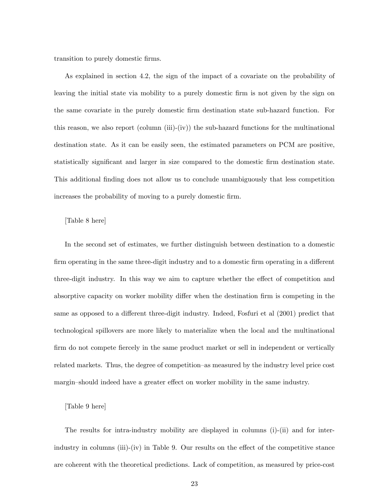transition to purely domestic firms.

As explained in section 4.2, the sign of the impact of a covariate on the probability of leaving the initial state via mobility to a purely domestic Örm is not given by the sign on the same covariate in the purely domestic Örm destination state sub-hazard function. For this reason, we also report (column (iii)-(iv)) the sub-hazard functions for the multinational destination state. As it can be easily seen, the estimated parameters on PCM are positive, statistically significant and larger in size compared to the domestic firm destination state. This additional Önding does not allow us to conclude unambiguously that less competition increases the probability of moving to a purely domestic firm.

#### [Table 8 here]

In the second set of estimates, we further distinguish between destination to a domestic firm operating in the same three-digit industry and to a domestic firm operating in a different three-digit industry. In this way we aim to capture whether the effect of competition and absorptive capacity on worker mobility differ when the destination firm is competing in the same as opposed to a different three-digit industry. Indeed, Fosfuri et al  $(2001)$  predict that technological spillovers are more likely to materialize when the local and the multinational firm do not compete fiercely in the same product market or sell in independent or vertically related markets. Thus, the degree of competition–as measured by the industry level price cost margin–should indeed have a greater effect on worker mobility in the same industry.

#### [Table 9 here]

The results for intra-industry mobility are displayed in columns (i)-(ii) and for interindustry in columns (iii)-(iv) in Table 9. Our results on the effect of the competitive stance are coherent with the theoretical predictions. Lack of competition, as measured by price-cost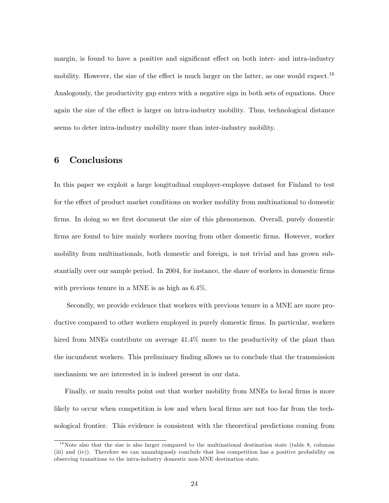margin, is found to have a positive and significant effect on both inter- and intra-industry mobility. However, the size of the effect is much larger on the latter, as one would expect.<sup>16</sup> Analogously, the productivity gap enters with a negative sign in both sets of equations. Once again the size of the effect is larger on intra-industry mobility. Thus, technological distance seems to deter intra-industry mobility more than inter-industry mobility.

## 6 Conclusions

In this paper we exploit a large longitudinal employer-employee dataset for Finland to test for the effect of product market conditions on worker mobility from multinational to domestic firms. In doing so we first document the size of this phenomenon. Overall, purely domestic firms are found to hire mainly workers moving from other domestic firms. However, worker mobility from multinationals, both domestic and foreign, is not trivial and has grown substantially over our sample period. In 2004, for instance, the share of workers in domestic firms with previous tenure in a MNE is as high as 6.4%.

Secondly, we provide evidence that workers with previous tenure in a MNE are more productive compared to other workers employed in purely domestic Örms. In particular, workers hired from MNEs contribute on average  $41.4\%$  more to the productivity of the plant than the incumbent workers. This preliminary Önding allows us to conclude that the transmission mechanism we are interested in is indeed present in our data.

Finally, or main results point out that worker mobility from MNEs to local firms is more likely to occur when competition is low and when local firms are not too far from the technological frontier. This evidence is consistent with the theoretical predictions coming from

 $16$ Note also that the size is also larger compared to the multinational destination state (table 8, columns (iii) and (iv)). Therefore we can unambiguosly conclude that less competition has a positive probability on observing transitions to the intra-industry domestic non-MNE destination state.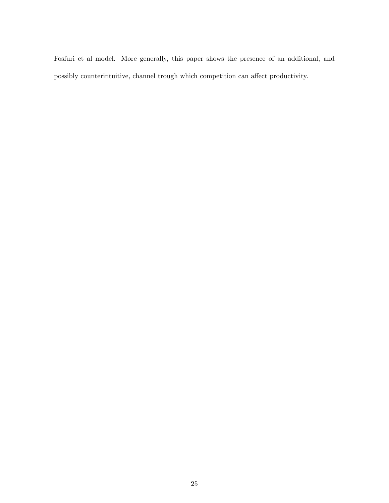Fosfuri et al model. More generally, this paper shows the presence of an additional, and possibly counterintuitive, channel trough which competition can affect productivity.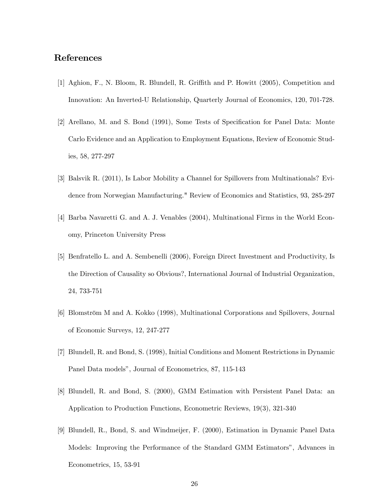## References

- [1] Aghion, F., N. Bloom, R. Blundell, R. Griffith and P. Howitt (2005), Competition and Innovation: An Inverted-U Relationship, Quarterly Journal of Economics, 120, 701-728.
- [2] Arellano, M. and S. Bond (1991), Some Tests of Specification for Panel Data: Monte Carlo Evidence and an Application to Employment Equations, Review of Economic Studies, 58, 277-297
- [3] Balsvik R. (2011), Is Labor Mobility a Channel for Spillovers from Multinationals? Evidence from Norwegian Manufacturing." Review of Economics and Statistics, 93, 285-297
- [4] Barba Navaretti G. and A. J. Venables (2004), Multinational Firms in the World Economy, Princeton University Press
- [5] Benfratello L. and A. Sembenelli (2006), Foreign Direct Investment and Productivity, Is the Direction of Causality so Obvious?, International Journal of Industrial Organization, 24, 733-751
- [6] Blomström M and A. Kokko (1998), Multinational Corporations and Spillovers, Journal of Economic Surveys, 12, 247-277
- [7] Blundell, R. and Bond, S. (1998), Initial Conditions and Moment Restrictions in Dynamic Panel Data models", Journal of Econometrics, 87, 115-143
- [8] Blundell, R. and Bond, S. (2000), GMM Estimation with Persistent Panel Data: an Application to Production Functions, Econometric Reviews, 19(3), 321-340
- [9] Blundell, R., Bond, S. and Windmeijer, F. (2000), Estimation in Dynamic Panel Data Models: Improving the Performance of the Standard GMM Estimators", Advances in Econometrics, 15, 53-91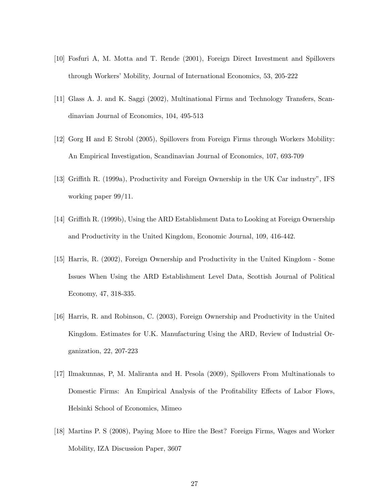- [10] Fosfuri A, M. Motta and T. Rende (2001), Foreign Direct Investment and Spillovers through Workers' Mobility, Journal of International Economics, 53, 205-222
- [11] Glass A. J. and K. Saggi (2002), Multinational Firms and Technology Transfers, Scandinavian Journal of Economics, 104, 495-513
- [12] Gorg H and E Strobl (2005), Spillovers from Foreign Firms through Workers Mobility: An Empirical Investigation, Scandinavian Journal of Economics, 107, 693-709
- [13] Griffith R. (1999a), Productivity and Foreign Ownership in the UK Car industry", IFS working paper 99/11.
- [14] Griffith R. (1999b), Using the ARD Establishment Data to Looking at Foreign Ownership and Productivity in the United Kingdom, Economic Journal, 109, 416-442.
- [15] Harris, R. (2002), Foreign Ownership and Productivity in the United Kingdom Some Issues When Using the ARD Establishment Level Data, Scottish Journal of Political Economy, 47, 318-335.
- [16] Harris, R. and Robinson, C. (2003), Foreign Ownership and Productivity in the United Kingdom. Estimates for U.K. Manufacturing Using the ARD, Review of Industrial Organization, 22, 207-223
- [17] Ilmakunnas, P, M. Maliranta and H. Pesola (2009), Spillovers From Multinationals to Domestic Firms: An Empirical Analysis of the Profitability Effects of Labor Flows, Helsinki School of Economics, Mimeo
- [18] Martins P. S (2008), Paying More to Hire the Best? Foreign Firms, Wages and Worker Mobility, IZA Discussion Paper, 3607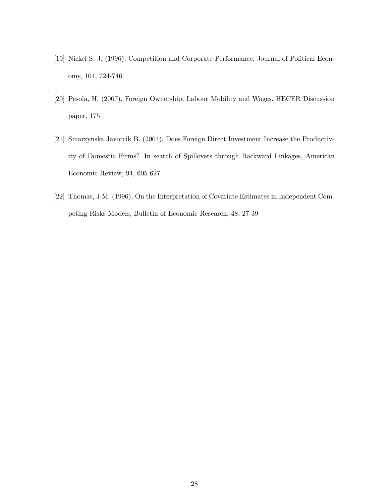- [19] Nickel S. J. (1996), Competition and Corporate Performance, Journal of Political Economy, 104, 724-746
- [20] Pesola, H. (2007), Foreign Ownership, Labour Mobility and Wages, HECER Discussion paper, 175
- [21] Smarzynska Javorcik B. (2004), Does Foreign Direct Investment Increase the Productivity of Domestic Firms? In search of Spillovers through Backward Linkages, American Economic Review, 94, 605-627
- [22] Thomas, J.M. (1996), On the Interpretation of Covariate Estimates in Independent Competing Risks Models, Bulletin of Economic Research, 48, 27-39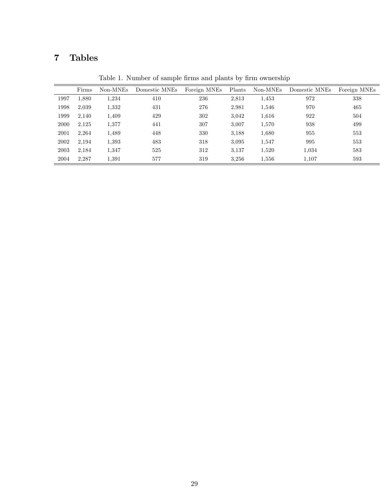## 7 Tables

|      | Firms | Non-MNEs | Domestic MNEs | Foreign MNEs | Plants | Non-MNEs | Domestic MNEs | Foreign MNEs |
|------|-------|----------|---------------|--------------|--------|----------|---------------|--------------|
| 1997 | 1,880 | 1.234    | 410           | 236          | 2,813  | 1,453    | 972           | 338          |
| 1998 | 2,039 | 1,332    | 431           | 276          | 2,981  | 1,546    | 970           | 465          |
| 1999 | 2,140 | 1,409    | 429           | 302          | 3,042  | 1,616    | 922           | 504          |
| 2000 | 2,125 | 1,377    | 441           | 307          | 3,007  | 1,570    | 938           | 499          |
| 2001 | 2,264 | 1,489    | 448           | 330          | 3,188  | 1,680    | 955           | 553          |
| 2002 | 2,194 | 1,393    | 483           | 318          | 3,095  | 1,547    | 995           | 553          |
| 2003 | 2,184 | 1.347    | 525           | 312          | 3.137  | 1,520    | 1,034         | 583          |
| 2004 | 2.287 | 1,391    | 577           | 319          | 3.256  | 1,556    | 1.107         | 593          |

Table 1. Number of sample firms and plants by firm ownership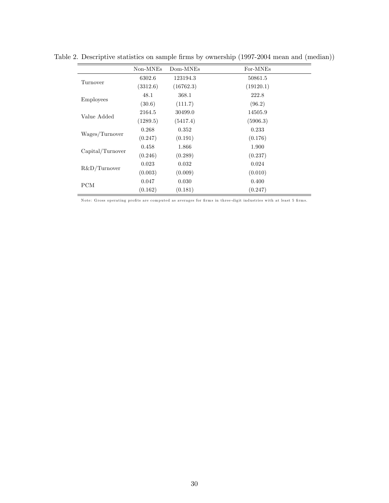|                  | Non-MNEs | Dom-MNEs  | For-MNEs  |
|------------------|----------|-----------|-----------|
| Turnover         | 6302.6   | 123194.3  | 50861.5   |
|                  | (3312.6) | (16762.3) | (19120.1) |
|                  | 48.1     | 368.1     | 222.8     |
| <b>Employees</b> | (30.6)   | (111.7)   | (96.2)    |
|                  | 2164.5   | 30499.0   | 14505.9   |
| Value Added      | (1289.5) | (5417.4)  | (5906.3)  |
|                  | 0.268    | 0.352     | 0.233     |
| Wages/Turnover   | (0.247)  | (0.191)   | (0.176)   |
|                  | 0.458    | 1.866     | 1.900     |
| Capital/Turnover | (0.246)  | (0.289)   | (0.237)   |
|                  | 0.023    | 0.032     | 0.024     |
| R&D/Turnover     | (0.003)  | (0.009)   | (0.010)   |
| PCM              | 0.047    | 0.030     | 0.400     |
|                  | (0.162)  | (0.181)   | (0.247)   |

Table 2. Descriptive statistics on sample firms by ownership (1997-2004 mean and (median))

Note: Gross operating profits are computed as averages for firms in three-digit industries with at least 5 firms.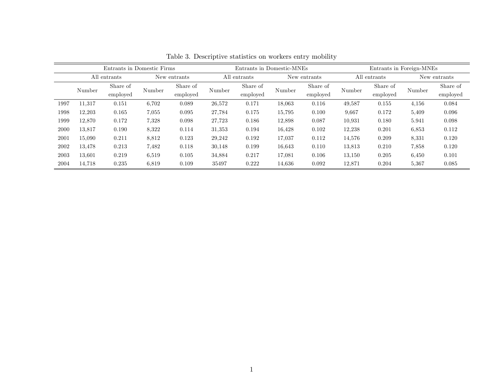| Entrants in Domestic Firms |                              |          |        | Entrants in Domestic-MNEs |        |                                |              | Entrants in Foreign-MNEs |              |          |              |          |
|----------------------------|------------------------------|----------|--------|---------------------------|--------|--------------------------------|--------------|--------------------------|--------------|----------|--------------|----------|
|                            | All entrants<br>New entrants |          |        | All entrants              |        |                                | New entrants |                          | All entrants |          | New entrants |          |
|                            | Number                       | Share of | Number | Share of                  |        | Share of<br>Number<br>employed | Number       | Share of                 | Number       | Share of | Number       | Share of |
|                            |                              | employed |        | employed                  |        |                                |              | employed                 |              | employed |              | employed |
| 1997                       | 11.317                       | 0.151    | 6,702  | 0.089                     | 26,572 | 0.171                          | 18,063       | 0.116                    | 49,587       | 0.155    | 4,156        | 0.084    |
| 1998                       | 12,203                       | 0.165    | 7,055  | 0.095                     | 27,784 | 0.175                          | 15,795       | 0.100                    | 9,667        | 0.172    | 5,409        | 0.096    |
| 1999                       | 12,870                       | 0.172    | 7.328  | 0.098                     | 27,723 | 0.186                          | 12,898       | 0.087                    | 10.931       | 0.180    | 5.941        | 0.098    |
| 2000                       | 13,817                       | 0.190    | 8,322  | 0.114                     | 31,353 | 0.194                          | 16,428       | 0.102                    | 12,238       | 0.201    | 6,853        | 0.112    |
| 2001                       | 15.090                       | 0.211    | 8.812  | 0.123                     | 29,242 | 0.192                          | 17,037       | 0.112                    | 14,576       | 0.209    | 8.331        | 0.120    |
| 2002                       | 13,478                       | 0.213    | 7.482  | 0.118                     | 30,148 | 0.199                          | 16,643       | 0.110                    | 13,813       | 0.210    | 7,858        | 0.120    |
| 2003                       | 13.601                       | 0.219    | 6,519  | 0.105                     | 34,884 | 0.217                          | 17,081       | 0.106                    | 13,150       | 0.205    | 6,450        | 0.101    |
| 2004                       | 14.718                       | 0.235    | 6,819  | 0.109                     | 35497  | 0.222                          | 14.636       | 0.092                    | 12,871       | 0.204    | 5,367        | 0.085    |

Table 3. Descriptive statistics on workers entry mobility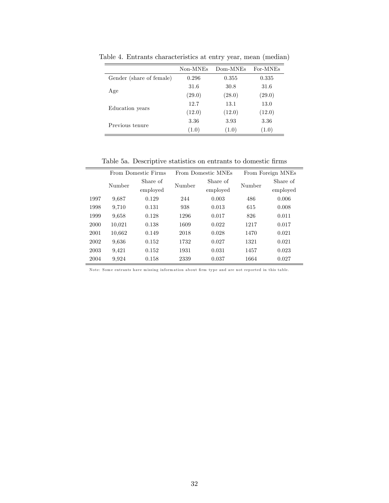|                          | Non-MNEs | Dom-MNEs | For-MNEs |
|--------------------------|----------|----------|----------|
| Gender (share of female) | 0.296    | 0.355    | 0.335    |
|                          | 31.6     | 30.8     | 31.6     |
| Age                      | (29.0)   | (28.0)   | (29.0)   |
|                          | 12.7     | 13.1     | 13.0     |
| Education years          | (12.0)   | (12.0)   | (12.0)   |
| Previous tenure          | 3.36     | 3.93     | 3.36     |
|                          | (1.0)    | (1.0)    | (1.0)    |

Table 4. Entrants characteristics at entry year, mean (median)

Table 5a. Descriptive statistics on entrants to domestic firms

|      |        | From Domestic Firms |        | From Domestic MNEs | From Foreign MNEs |          |  |
|------|--------|---------------------|--------|--------------------|-------------------|----------|--|
|      | Number | Share of            | Number | Share of           | Number            | Share of |  |
|      |        | employed            |        | employed           |                   | employed |  |
| 1997 | 9,687  | 0.129               | 244    | 0.003              | 486               | 0.006    |  |
| 1998 | 9,710  | 0.131               | 938    | 0.013              | 615               | 0.008    |  |
| 1999 | 9,658  | 0.128               | 1296   | 0.017              | 826               | 0.011    |  |
| 2000 | 10,021 | 0.138               | 1609   | 0.022              | 1217              | 0.017    |  |
| 2001 | 10,662 | 0.149               | 2018   | 0.028              | 1470              | 0.021    |  |
| 2002 | 9.636  | 0.152               | 1732   | 0.027              | 1321              | 0.021    |  |
| 2003 | 9,421  | 0.152               | 1931   | 0.031              | 1457              | 0.023    |  |
| 2004 | 9,924  | 0.158               | 2339   | 0.037              | 1664              | 0.027    |  |

Note: Some entrants have missing information about firm type and are not reported in this table.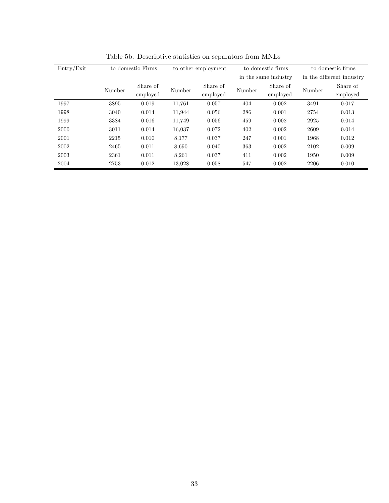| Entry/Exit | to domestic Firms |          | to other employment |          | to domestic firms    |          | to domestic firms         |          |  |
|------------|-------------------|----------|---------------------|----------|----------------------|----------|---------------------------|----------|--|
|            |                   |          |                     |          | in the same industry |          | in the different industry |          |  |
|            | Number            | Share of | Number              | Share of | Number               | Share of | Number                    | Share of |  |
|            |                   | employed |                     | employed |                      | employed |                           | employed |  |
| 1997       | 3895              | 0.019    | 11,761              | 0.057    | 404                  | 0.002    | 3491                      | 0.017    |  |
| 1998       | 3040              | 0.014    | 11,944              | 0.056    | 286                  | 0.001    | 2754                      | 0.013    |  |
| 1999       | 3384              | 0.016    | 11,749              | 0.056    | 459                  | 0.002    | 2925                      | 0.014    |  |
| 2000       | 3011              | 0.014    | 16,037              | 0.072    | 402                  | 0.002    | 2609                      | 0.014    |  |
| 2001       | 2215              | 0.010    | 8,177               | 0.037    | 247                  | 0.001    | 1968                      | 0.012    |  |
| 2002       | 2465              | 0.011    | 8,690               | 0.040    | 363                  | 0.002    | 2102                      | 0.009    |  |
| 2003       | 2361              | 0.011    | 8,261               | 0.037    | 411                  | 0.002    | 1950                      | 0.009    |  |
| 2004       | 2753              | 0.012    | 13,028              | 0.058    | 547                  | 0.002    | 2206                      | 0.010    |  |

Table 5b. Descriptive statistics on separators from MNEs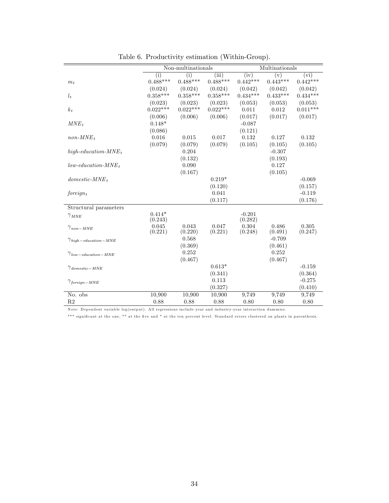|                                    | Non-multinationals  |                  |                  | Multinationals      |                  |                  |  |
|------------------------------------|---------------------|------------------|------------------|---------------------|------------------|------------------|--|
|                                    | (i)                 | (i)              | (iii)            | (iv)                | (v)              | (vi)             |  |
| $m_t$                              | $0.488***$          | $0.488***$       | $0.488***$       | $0.442***$          | $0.443***$       | $0.442***$       |  |
|                                    | (0.024)             | (0.024)          | (0.024)          | (0.042)             | (0.042)          | (0.042)          |  |
| $l_t$                              | $0.358***$          | $0.358***$       | $0.358***$       | $0.434***$          | $0.433***$       | $0.434***$       |  |
|                                    | (0.023)             | (0.023)          | (0.023)          | (0.053)             | (0.053)          | (0.053)          |  |
| $k_t$                              | $0.022***$          | $0.022***$       | $0.022***$       | 0.011               | 0.012            | $0.011***$       |  |
|                                    | (0.006)             | (0.006)          | (0.006)          | (0.017)             | (0.017)          | (0.017)          |  |
| $MNE_t$                            | $0.148*$            |                  |                  | $-0.087$            |                  |                  |  |
|                                    | (0.086)             |                  |                  | (0.121)             |                  |                  |  |
| $non-MNE_t$                        | 0.016               | 0.015            | 0.017            | 0.132               | 0.127            | 0.132            |  |
|                                    | (0.079)             | (0.079)          | (0.079)          | (0.105)             | (0.105)          | (0.105)          |  |
| high-education- $MNE_t$            |                     | 0.204            |                  |                     | $-0.307$         |                  |  |
|                                    |                     | (0.132)          |                  |                     | (0.193)          |                  |  |
| $low\text{-}eduction\text{-}MNE_t$ |                     | 0.090            |                  |                     | 0.127            |                  |  |
|                                    |                     | (0.167)          |                  |                     | (0.105)          |                  |  |
| $domestic-MNE_t$                   |                     |                  | $0.219*$         |                     |                  | $-0.069$         |  |
|                                    |                     |                  | (0.120)          |                     |                  | (0.157)          |  |
| $foreiqn_t$                        |                     |                  | 0.041            |                     |                  | $-0.119$         |  |
|                                    |                     |                  | (0.117)          |                     |                  | (0.176)          |  |
| Structural parameters              |                     |                  |                  |                     |                  |                  |  |
| $\gamma$ <sub>MNE</sub>            | $0.414*$<br>(0.243) |                  |                  | $-0.201$<br>(0.282) |                  |                  |  |
| $\gamma_{non-MNE}$                 | 0.045<br>(0.221)    | 0.043<br>(0.220) | 0.047<br>(0.221) | 0.304<br>(0.248)    | 0.486<br>(0.491) | 0.305<br>(0.247) |  |
|                                    |                     | 0.568            |                  |                     | $-0.709$         |                  |  |
| $\gamma_{high-eduction-MNE}$       |                     | (0.369)          |                  |                     | (0.461)          |                  |  |
| $\gamma_{low-eduction-MNE}$        |                     | 0.252            |                  |                     | 0.252            |                  |  |
|                                    |                     | (0.467)          |                  |                     | (0.467)          |                  |  |
| $\gamma_{domestic-MNE}$            |                     |                  | $0.613*$         |                     |                  | $-0.159$         |  |
|                                    |                     |                  | (0.341)          |                     |                  | (0.364)          |  |
| $\gamma_{\text{foreign-MNE}}$      |                     |                  | 0.113            |                     |                  | $-0.275$         |  |
|                                    |                     |                  | (0.327)          |                     |                  | (0.410)          |  |
| No. obs                            | 10,900              | 10,900           | 10,900           | 9,749               | 9,749            | 9,749            |  |
| R <sub>2</sub>                     | 0.88                | 0.88             | 0.88             | 0.80                | 0.80             | 0.80             |  |

Table 6. Productivity estimation (Within-Group).

Note: Dependent variable log(output). All regressions include year and industry-year interaction dummies.

\*\*\* significant at the one, \*\* at the five and \* at the ten percent level. Standard errors clustered on plants in parenthesis.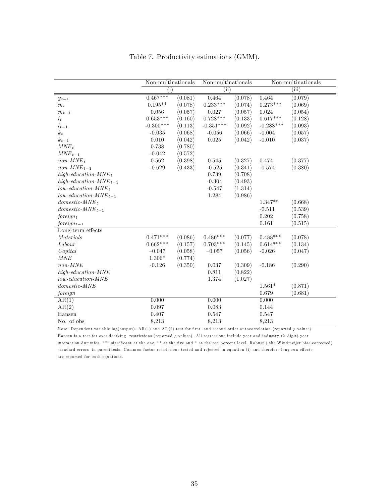|                                        | $\overline{\text{Non-multinationals}}$ |         | $\overline{\text{Non-multinations}}$ |         | Non-multinationals |         |
|----------------------------------------|----------------------------------------|---------|--------------------------------------|---------|--------------------|---------|
|                                        | (i)                                    |         | (iii)                                |         |                    | (iii)   |
| $y_{t-1}$                              | $0.467***$                             | (0.081) | 0.464                                | (0.078) | 0.464              | (0.079) |
| $m_t$                                  | $0.195**$                              | (0.078) | $0.233***$                           | (0.074) | $0.273***$         | (0.069) |
| $m_{t-1}$                              | 0.056                                  | (0.057) | 0.027                                | (0.057) | 0.024              | (0.054) |
| $l_t$                                  | $0.653***$                             | (0.160) | $0.728***$                           | (0.133) | $0.617***$         | (0.128) |
| $l_{t-1}$                              | $-0.300***$                            | (0.113) | $-0.351***$                          | (0.092) | $-0.288***$        | (0.093) |
| $k_t$                                  | $-0.035$                               | (0.068) | $-0.056$                             | (0.066) | $-0.004$           | (0.057) |
| $k_{t-1}$                              | 0.010                                  | (0.042) | $\,0.025\,$                          | (0.042) | $-0.010$           | (0.037) |
| $MNE_t$                                | 0.738                                  | (0.780) |                                      |         |                    |         |
| $MNE_{t-1}$                            | $-0.042$                               | (0.572) |                                      |         |                    |         |
| $non-MNE_t$                            | 0.562                                  | (0.398) | 0.545                                | (0.327) | 0.474              | (0.377) |
| $non-MNE_{t-1}$                        | $-0.629$                               | (0.433) | $-0.525$                             | (0.341) | $-0.574$           | (0.380) |
| $high\text{-}eduction\text{-}MNE_t$    |                                        |         | 0.739                                | (0.708) |                    |         |
| high-education- $MNE_{t-1}$            |                                        |         | $-0.304$                             | (0.493) |                    |         |
| $low\text{-}eduction\text{-}MNE_t$     |                                        |         | $-0.547$                             | (1.314) |                    |         |
| $low\text{-}eduction\text{-}MNE_{t-1}$ |                                        |         | 1.284                                | (0.986) |                    |         |
| $domestic-MNE_t$                       |                                        |         |                                      |         | $1.347**$          | (0.668) |
| $domestic-MNE_{t-1}$                   |                                        |         |                                      |         | $-0.511$           | (0.539) |
| $foreign_t$                            |                                        |         |                                      |         | 0.202              | (0.758) |
| $foreign_{t-1}$                        |                                        |         |                                      |         | 0.161              | (0.515) |
| Long-term effects                      |                                        |         |                                      |         |                    |         |
| Materials                              | $0.471***$                             | (0.086) | $0.486***$                           | (0.077) | $0.488***$         | (0.078) |
| Labour                                 | $0.662***$                             | (0.157) | $0.703***$                           | (0.145) | $0.614***$         | (0.134) |
| Capital                                | $-0.047$                               | (0.058) | $-0.057$                             | (0.056) | $-0.026$           | (0.047) |
| MNE                                    | $1.306*$                               | (0.774) |                                      |         |                    |         |
| $non-MNE$                              | $-0.126$                               | (0.350) | 0.037                                | (0.309) | $-0.186$           | (0.290) |
| $high\text{-}eduction\text{-}MNE$      |                                        |         | 0.811                                | (0.822) |                    |         |
| $low\text{-}eduction\text{-}MNE$       |                                        |         | $1.374\,$                            | (1.027) |                    |         |
| $domestic-MNE$                         |                                        |         |                                      |         | $1.561*$           | (0.871) |
| foreign                                |                                        |         |                                      |         | 0.679              | (0.681) |
| AR(1)                                  | 0.000                                  |         | 0.000                                |         | 0.000              |         |
| AR(2)                                  | 0.097                                  |         | 0.083                                |         | 0.144              |         |
| Hansen                                 | 0.407                                  |         | 0.547                                |         | 0.547              |         |
| No. of obs                             | 8,213                                  |         | 8,213                                |         | 8,213              |         |

Table 7. Productivity estimations (GMM).

Note: Dependent variable log(output). AR(1) and AR(2) test for first- and second-order autocorrelation (reported p-values). Hansen is a test for overidenfying restrictions (reported p-values). All regressions include year and industry (2-digit)-year interaction dummies. \*\*\* significant at the one, \*\* at the five and \* at the ten percent level. Robust (the Windmeijer bias-corrected) standard errors in parenthesis. Common factor restrictions tested and rejected in equation (i) and therefore long-run effects are reported for both equations.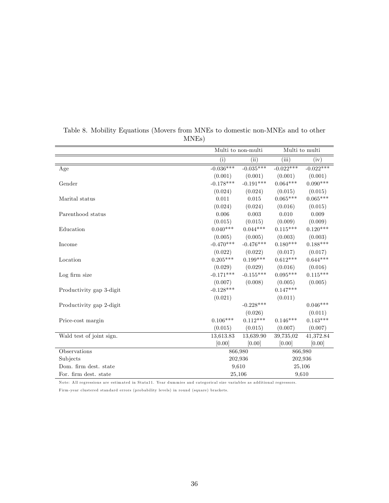|                          |             | Multi to non-multi |             | Multi to multi |
|--------------------------|-------------|--------------------|-------------|----------------|
|                          | $\rm(i)$    | (ii)               | (iii)       | (iv)           |
| Age                      | $-0.036***$ | $-0.035***$        | $-0.022***$ | $-0.022***$    |
|                          | (0.001)     | (0.001)            | (0.001)     | (0.001)        |
| Gender                   | $-0.178***$ | $-0.191***$        | $0.064***$  | $0.090***$     |
|                          | (0.024)     | (0.024)            | (0.015)     | (0.015)        |
| Marital status           | 0.011       | 0.015              | $0.065***$  | $0.065***$     |
|                          | (0.024)     | (0.024)            | (0.016)     | (0.015)        |
| Parenthood status        | 0.006       | 0.003              | 0.010       | 0.009          |
|                          | (0.015)     | (0.015)            | (0.009)     | (0.009)        |
| Education                | $0.040***$  | $0.044***$         | $0.115***$  | $0.120***$     |
|                          | (0.005)     | (0.005)            | (0.003)     | (0.003)        |
| Income                   | $-0.470***$ | $-0.476***$        | $0.180***$  | $0.188***$     |
|                          | (0.022)     | (0.022)            | (0.017)     | (0.017)        |
| Location                 | $0.205***$  | $0.199***$         | $0.612***$  | $0.644***$     |
|                          | (0.029)     | (0.029)            | (0.016)     | (0.016)        |
| Log firm size            | $-0.171***$ | $-0.155***$        | $0.095***$  | $0.115***$     |
|                          | (0.007)     | (0.008)            | (0.005)     | (0.005)        |
| Productivity gap 3-digit | $-0.128***$ |                    | $0.147***$  |                |
|                          | (0.021)     |                    | (0.011)     |                |
| Productivity gap 2-digit |             | $-0.228***$        |             | $0.046***$     |
|                          |             | (0.026)            |             | (0.011)        |
| Price-cost margin        | $0.106***$  | $0.112***$         | $0.146***$  | $0.143***$     |
|                          | (0.015)     | (0.015)            | (0.007)     | (0.007)        |
| Wald test of joint sign. | 13,613.83   | 13,639.90          | 39,735,02   | 41,372.84      |
|                          | [0.00]      | [0.00]             | [0.00]      | [0.00]         |
| Observations             |             | 866,980            |             | 866,980        |
| Subjects                 |             | 202,936            |             | 202,936        |
| Dom. firm dest. state    |             | 9,610              | 25,106      |                |
| For. firm dest. state    |             | 25,106             | 9,610       |                |

Table 8. Mobility Equations (Movers from MNEs to domestic non-MNEs and to other MNEs)

Note: All regressions are estimated in Stata11. Year dummies and categorical size variables as additional regressors.

Firm-year clustered standard errors (probability levels) in round (square) brackets.